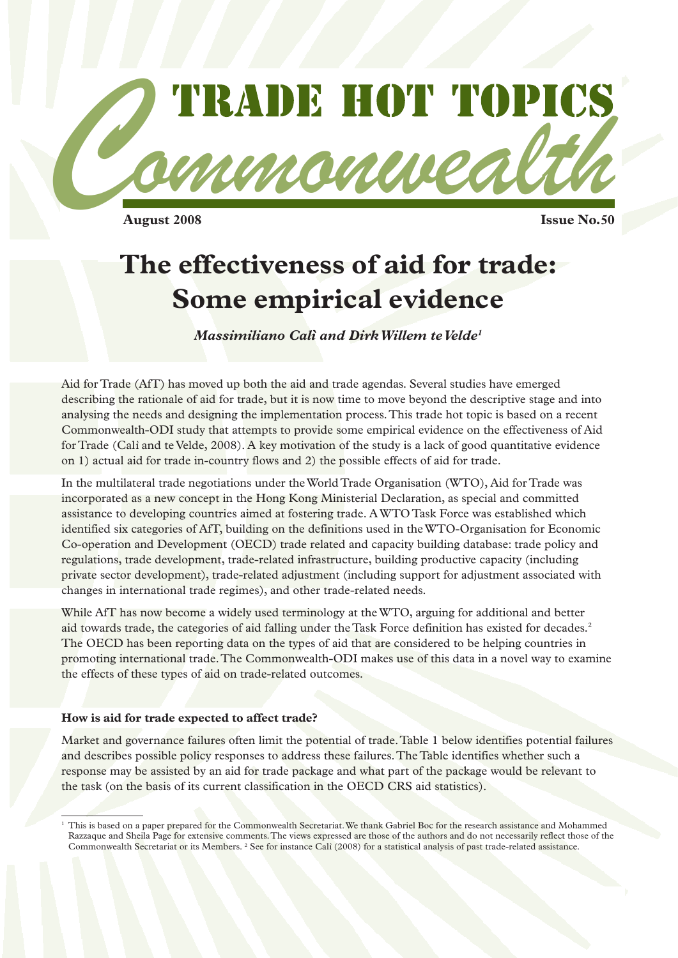

 $A$ ugust 2008

# **The effectiveness of aid for trade: Some empirical evidence**

*Massimiliano Calì and Dirk Willem te Velde1*

Aid for Trade (AfT) has moved up both the aid and trade agendas. Several studies have emerged describing the rationale of aid for trade, but it is now time to move beyond the descriptive stage and into analysing the needs and designing the implementation process. This trade hot topic is based on a recent Commonwealth-ODI study that attempts to provide some empirical evidence on the effectiveness of Aid for Trade (Calì and te Velde, 2008). A key motivation of the study is a lack of good quantitative evidence on 1) actual aid for trade in-country flows and 2) the possible effects of aid for trade.

In the multilateral trade negotiations under the World Trade Organisation (WTO), Aid for Trade was incorporated as a new concept in the Hong Kong Ministerial Declaration, as special and committed assistance to developing countries aimed at fostering trade. A WTO Task Force was established which identified six categories of AfT, building on the definitions used in the WTO-Organisation for Economic Co-operation and Development (OECD) trade related and capacity building database: trade policy and regulations, trade development, trade-related infrastructure, building productive capacity (including private sector development), trade-related adjustment (including support for adjustment associated with changes in international trade regimes), and other trade-related needs.

While AfT has now become a widely used terminology at the WTO, arguing for additional and better aid towards trade, the categories of aid falling under the Task Force definition has existed for decades.2 The OECD has been reporting data on the types of aid that are considered to be helping countries in promoting international trade. The Commonwealth-ODI makes use of this data in a novel way to examine the effects of these types of aid on trade-related outcomes.

#### **How is aid for trade expected to affect trade?**

Market and governance failures often limit the potential of trade. Table 1 below identifies potential failures and describes possible policy responses to address these failures. The Table identifies whether such a response may be assisted by an aid for trade package and what part of the package would be relevant to the task (on the basis of its current classification in the OECD CRS aid statistics).

<sup>&</sup>lt;sup>1</sup> This is based on a paper prepared for the Commonwealth Secretariat. We thank Gabriel Boc for the research assistance and Mohammed Razzaque and Sheila Page for extensive comments. The views expressed are those of the authors and do not necessarily reflect those of the Commonwealth Secretariat or its Members. <sup>2</sup> See for instance Calì (2008) for a statistical analysis of past trade-related assistance.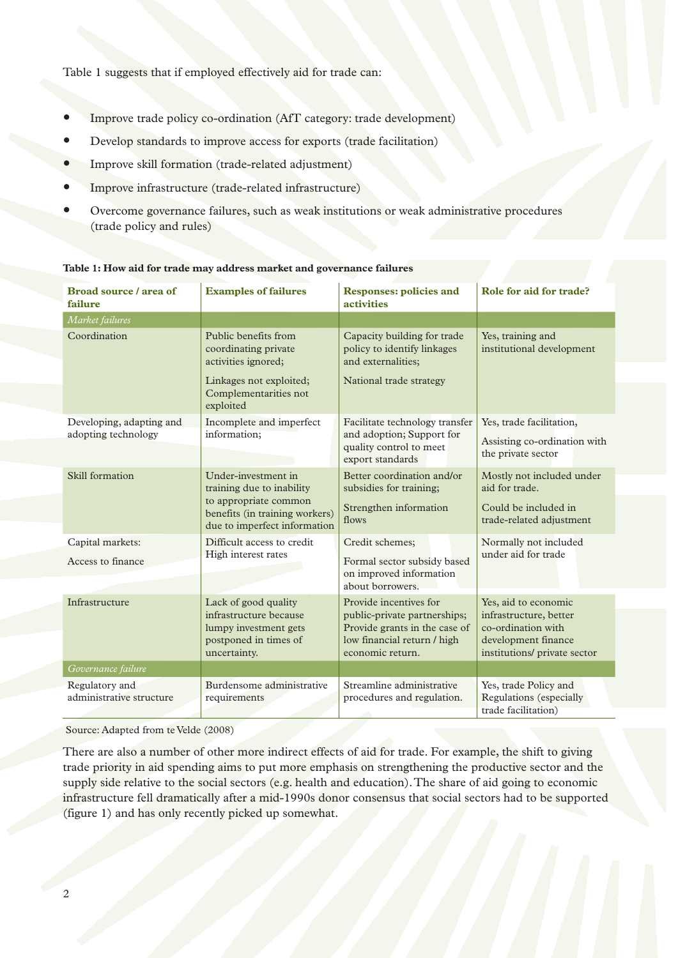Table 1 suggests that if employed effectively aid for trade can:

- Improve trade policy co-ordination (AfT category: trade development)
- Develop standards to improve access for exports (trade facilitation)
- Improve skill formation (trade-related adjustment)
- Improve infrastructure (trade-related infrastructure)
- Overcome governance failures, such as weak institutions or weak administrative procedures (trade policy and rules)

| Broad source / area of<br>failure               | <b>Examples of failures</b>                                                                                                                 | <b>Responses: policies and</b><br><b>activities</b>                                                                                        | Role for aid for trade?                                                                                                     |
|-------------------------------------------------|---------------------------------------------------------------------------------------------------------------------------------------------|--------------------------------------------------------------------------------------------------------------------------------------------|-----------------------------------------------------------------------------------------------------------------------------|
| Market failures                                 |                                                                                                                                             |                                                                                                                                            |                                                                                                                             |
| Coordination                                    | Public benefits from<br>coordinating private<br>activities ignored;<br>Linkages not exploited;<br>Complementarities not<br>exploited        | Capacity building for trade<br>policy to identify linkages<br>and externalities;<br>National trade strategy                                | Yes, training and<br>institutional development                                                                              |
| Developing, adapting and<br>adopting technology | Incomplete and imperfect<br>information;                                                                                                    | Facilitate technology transfer<br>and adoption; Support for<br>quality control to meet<br>export standards                                 | Yes, trade facilitation,<br>Assisting co-ordination with<br>the private sector                                              |
| Skill formation                                 | Under-investment in<br>training due to inability<br>to appropriate common<br>benefits (in training workers)<br>due to imperfect information | Better coordination and/or<br>subsidies for training;<br>Strengthen information<br>flows                                                   | Mostly not included under<br>aid for trade.<br>Could be included in<br>trade-related adjustment                             |
| Capital markets:<br>Access to finance           | Difficult access to credit<br>High interest rates                                                                                           | Credit schemes;<br>Formal sector subsidy based<br>on improved information<br>about borrowers.                                              | Normally not included<br>under aid for trade                                                                                |
| Infrastructure                                  | Lack of good quality<br>infrastructure because<br>lumpy investment gets<br>postponed in times of<br>uncertainty.                            | Provide incentives for<br>public-private partnerships;<br>Provide grants in the case of<br>low financial return / high<br>economic return. | Yes, aid to economic<br>infrastructure, better<br>co-ordination with<br>development finance<br>institutions/ private sector |
| Governance failure                              |                                                                                                                                             |                                                                                                                                            |                                                                                                                             |
| Regulatory and<br>administrative structure      | Burdensome administrative<br>requirements                                                                                                   | Streamline administrative<br>procedures and regulation.                                                                                    | Yes, trade Policy and<br>Regulations (especially<br>trade facilitation)                                                     |

**Table 1: How aid for trade may address market and governance failures**

Source: Adapted from te Velde (2008)

There are also a number of other more indirect effects of aid for trade. For example, the shift to giving trade priority in aid spending aims to put more emphasis on strengthening the productive sector and the supply side relative to the social sectors (e.g. health and education). The share of aid going to economic infrastructure fell dramatically after a mid-1990s donor consensus that social sectors had to be supported (figure 1) and has only recently picked up somewhat.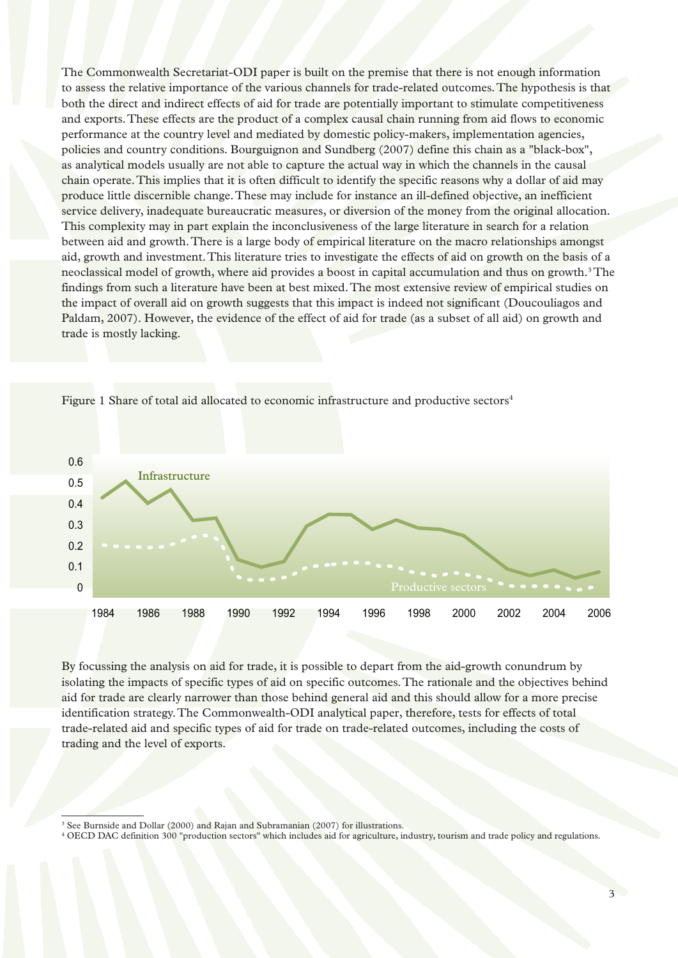The Commonwealth Secretariat-ODI paper is built on the premise that there is not enough information to assess the relative importance of the various channels for trade-related outcomes. The hypothesis is that both the direct and indirect effects of aid for trade are potentially important to stimulate competitiveness and exports. These effects are the product of a complex causal chain running from aid flows to economic performance at the country level and mediated by domestic policy-makers, implementation agencies, policies and country conditions. Bourguignon and Sundberg (2007) define this chain as a "black-box", as analytical models usually are not able to capture the actual way in which the channels in the causal chain operate. This implies that it is often difficult to identify the specific reasons why a dollar of aid may produce little discernible change. These may include for instance an ill-defined objective, an inefficient service delivery, inadequate bureaucratic measures, or diversion of the money from the original allocation. This complexity may in part explain the inconclusiveness of the large literature in search for a relation between aid and growth. There is a large body of empirical literature on the macro relationships amongst aid, growth and investment. This literature tries to investigate the effects of aid on growth on the basis of a neoclassical model of growth, where aid provides a boost in capital accumulation and thus on growth.<sup>3</sup> The findings from such a literature have been at best mixed. The most extensive review of empirical studies on the impact of overall aid on growth suggests that this impact is indeed not significant (Doucouliagos and Paldam, 2007). However, the evidence of the effect of aid for trade (as a subset of all aid) on growth and trade is mostly lacking.



Figure 1 Share of total aid allocated to economic infrastructure and productive sectors<sup>4</sup>

By focussing the analysis on aid for trade, it is possible to depart from the aid-growth conundrum by isolating the impacts of specific types of aid on specific outcomes. The rationale and the objectives behind aid for trade are clearly narrower than those behind general aid and this should allow for a more precise identification strategy. The Commonwealth-ODI analytical paper, therefore, tests for effects of total trade-related aid and specific types of aid for trade on trade-related outcomes, including the costs of trading and the level of exports.  $\begin{array}{c} \text{d} \text{d} \text{d} \ \text{d} \text{d} \ \text{d} \ \text{e} \ \text{e} \ \text{E} \text{d} \ \text{f} \ \text{f} \ \text{f} \ \text{f} \ \text{f} \ \text{f} \ \text{f} \ \text{f} \ \text{f} \ \text{f} \ \text{f} \ \text{f} \ \text{f} \ \text{f} \ \text{f} \ \text{f} \ \text{f} \ \text{f} \ \text{f} \ \text{f} \ \text{f} \ \text{f} \ \text{f} \ \text{f} \ \text{f} \ \text{f} \ \$ 

<sup>3</sup> See Burnside and Dollar (2000) and Rajan and Subramanian (2007) for illustrations.

<sup>4</sup> OECD DAC definition 300 "production sectors" which includes aid for agriculture, industry, tourism and trade policy and regulations.  $\frac{1}{3}$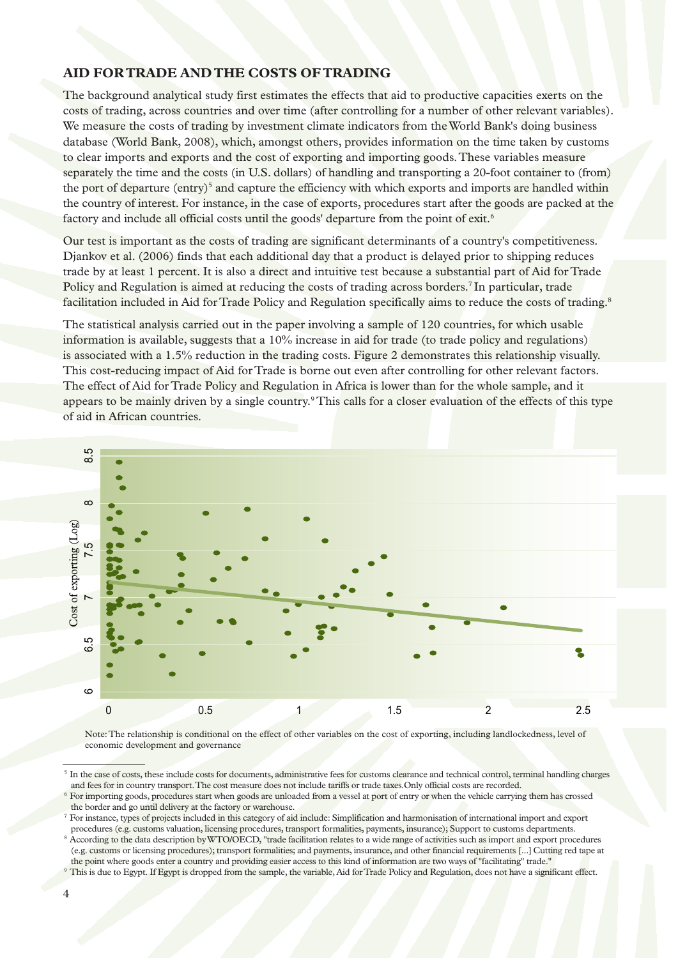#### **AID FOR TRADE AND THE COSTS OF TRADING**

The background analytical study first estimates the effects that aid to productive capacities exerts on the costs of trading, across countries and over time (after controlling for a number of other relevant variables). We measure the costs of trading by investment climate indicators from the World Bank's doing business database (World Bank, 2008), which, amongst others, provides information on the time taken by customs to clear imports and exports and the cost of exporting and importing goods. These variables measure separately the time and the costs (in U.S. dollars) of handling and transporting a 20-foot container to (from) the port of departure (entry)<sup>5</sup> and capture the efficiency with which exports and imports are handled within the country of interest. For instance, in the case of exports, procedures start after the goods are packed at the factory and include all official costs until the goods' departure from the point of exit.<sup>6</sup>

Our test is important as the costs of trading are significant determinants of a country's competitiveness. Djankov et al. (2006) finds that each additional day that a product is delayed prior to shipping reduces trade by at least 1 percent. It is also a direct and intuitive test because a substantial part of Aid for Trade Policy and Regulation is aimed at reducing the costs of trading across borders.<sup>7</sup> In particular, trade facilitation included in Aid for Trade Policy and Regulation specifically aims to reduce the costs of trading.<sup>8</sup>

The statistical analysis carried out in the paper involving a sample of 120 countries, for which usable information is available, suggests that a 10% increase in aid for trade (to trade policy and regulations) is associated with a 1.5% reduction in the trading costs. Figure 2 demonstrates this relationship visually. This cost-reducing impact of Aid for Trade is borne out even after controlling for other relevant factors. The effect of Aid for Trade Policy and Regulation in Africa is lower than for the whole sample, and it appears to be mainly driven by a single country.<sup>9</sup> This calls for a closer evaluation of the effects of this type of aid in African countries.



 Note: The relationship is conditional on the effect of other variables on the cost of exporting, including landlockedness, level of economic development and governance

<sup>&</sup>lt;sup>5</sup> In the case of costs, these include costs for documents, administrative fees for customs clearance and technical control, terminal handling charges and fees for in country transport. The cost measure does not include tariffs or trade taxes.Only official costs are recorded.

<sup>6</sup> For importing goods, procedures start when goods are unloaded from a vessel at port of entry or when the vehicle carrying them has crossed the border and go until delivery at the factory or warehouse.

<sup>7</sup> For instance, types of projects included in this category of aid include: Simplification and harmonisation of international import and export procedures (e.g. customs valuation, licensing procedures, transport formalities, payments, insurance); Support to customs departments.

<sup>8</sup> According to the data description by WTO/OECD, "trade facilitation relates to a wide range of activities such as import and export procedures (e.g. customs or licensing procedures); transport formalities; and payments, insurance, and other financial requirements [...]Cutting red tape at the point where goods enter a country and providing easier access to this kind of information are two ways of "facilitating" trade."

<sup>&</sup>lt;sup>9</sup> This is due to Egypt. If Egypt is dropped from the sample, the variable, Aid for Trade Policy and Regulation, does not have a significant effect.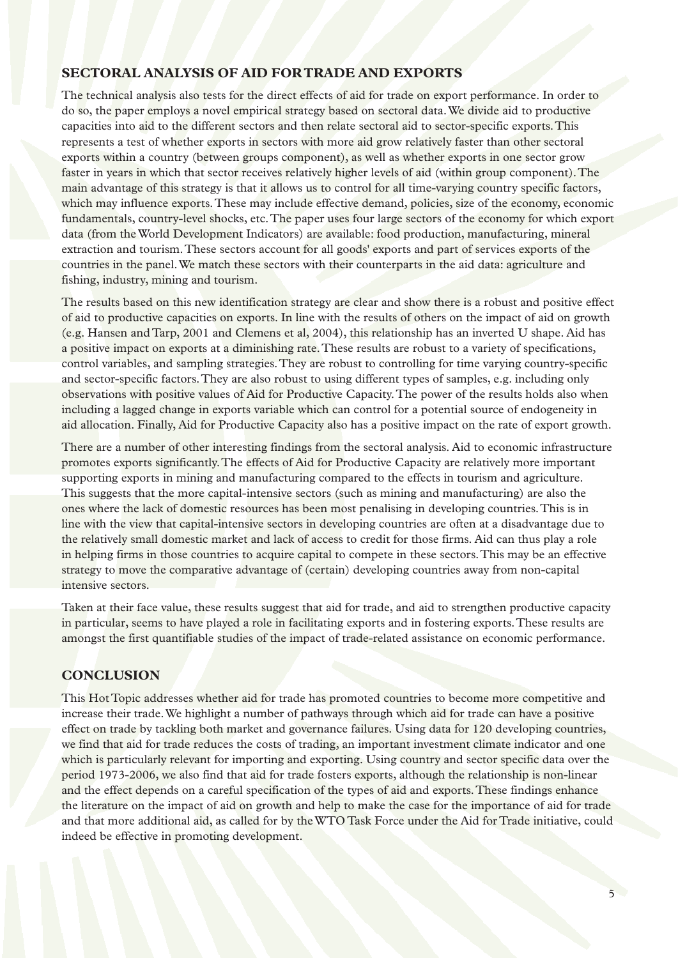#### **SECTORAL ANALYSIS OF AID FOR TRADE AND EXPORTS**

The technical analysis also tests for the direct effects of aid for trade on export performance. In order to do so, the paper employs a novel empirical strategy based on sectoral data. We divide aid to productive capacities into aid to the different sectors and then relate sectoral aid to sector-specific exports. This represents a test of whether exports in sectors with more aid grow relatively faster than other sectoral exports within a country (between groups component), as well as whether exports in one sector grow faster in years in which that sector receives relatively higher levels of aid (within group component). The main advantage of this strategy is that it allows us to control for all time-varying country specific factors, which may influence exports. These may include effective demand, policies, size of the economy, economic fundamentals, country-level shocks, etc. The paper uses four large sectors of the economy for which export data (from the World Development Indicators) are available: food production, manufacturing, mineral extraction and tourism. These sectors account for all goods' exports and part of services exports of the countries in the panel. We match these sectors with their counterparts in the aid data: agriculture and fishing, industry, mining and tourism.

The results based on this new identification strategy are clear and show there is a robust and positive effect of aid to productive capacities on exports. In line with the results of others on the impact of aid on growth (e.g. Hansen and Tarp, 2001 and Clemens et al, 2004), this relationship has an inverted U shape. Aid has a positive impact on exports at a diminishing rate. These results are robust to a variety of specifications, control variables, and sampling strategies. They are robust to controlling for time varying country-specific and sector-specific factors. They are also robust to using different types of samples, e.g. including only observations with positive values of Aid for Productive Capacity. The power of the results holds also when including a lagged change in exports variable which can control for a potential source of endogeneity in aid allocation. Finally, Aid for Productive Capacity also has a positive impact on the rate of export growth.

There are a number of other interesting findings from the sectoral analysis. Aid to economic infrastructure promotes exports significantly. The effects of Aid for Productive Capacity are relatively more important supporting exports in mining and manufacturing compared to the effects in tourism and agriculture. This suggests that the more capital-intensive sectors (such as mining and manufacturing) are also the ones where the lack of domestic resources has been most penalising in developing countries. This is in line with the view that capital-intensive sectors in developing countries are often at a disadvantage due to the relatively small domestic market and lack of access to credit for those firms. Aid can thus play a role in helping firms in those countries to acquire capital to compete in these sectors. This may be an effective strategy to move the comparative advantage of (certain) developing countries away from non-capital intensive sectors.

Taken at their face value, these results suggest that aid for trade, and aid to strengthen productive capacity in particular, seems to have played a role in facilitating exports and in fostering exports. These results are amongst the first quantifiable studies of the impact of trade-related assistance on economic performance.

### **CONCLUSION**

This Hot Topic addresses whether aid for trade has promoted countries to become more competitive and increase their trade. We highlight a number of pathways through which aid for trade can have a positive effect on trade by tackling both market and governance failures. Using data for 120 developing countries, we find that aid for trade reduces the costs of trading, an important investment climate indicator and one which is particularly relevant for importing and exporting. Using country and sector specific data over the period 1973-2006, we also find that aid for trade fosters exports, although the relationship is non-linear and the effect depends on a careful specification of the types of aid and exports. These findings enhance the literature on the impact of aid on growth and help to make the case for the importance of aid for trade and that more additional aid, as called for by the WTO Task Force under the Aid for Trade initiative, could indeed be effective in promoting development.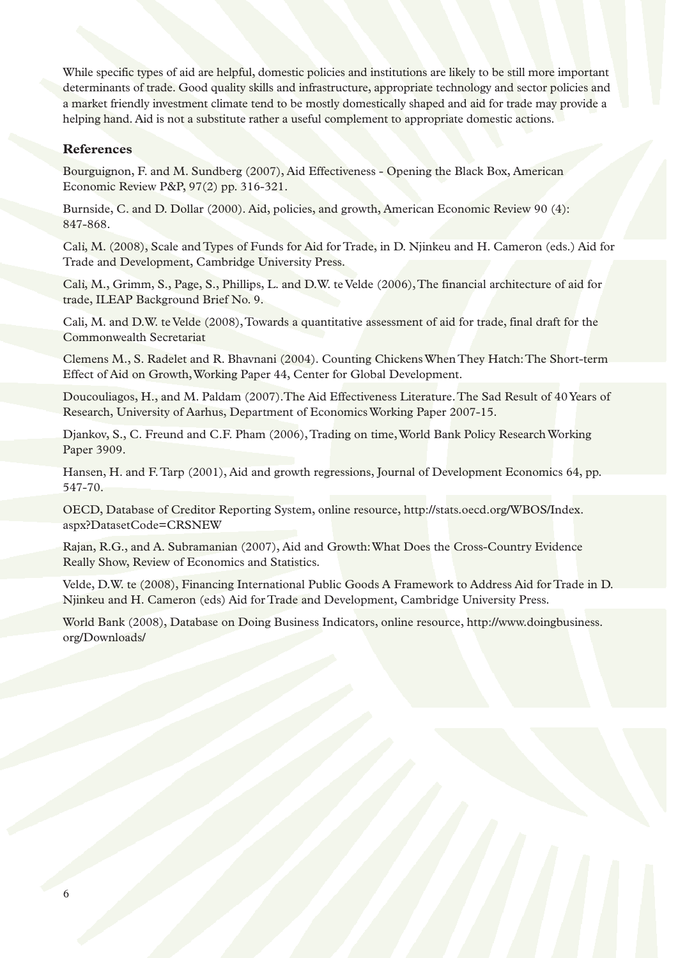While specific types of aid are helpful, domestic policies and institutions are likely to be still more important determinants of trade. Good quality skills and infrastructure, appropriate technology and sector policies and a market friendly investment climate tend to be mostly domestically shaped and aid for trade may provide a helping hand. Aid is not a substitute rather a useful complement to appropriate domestic actions.

#### **References**

Bourguignon, F. and M. Sundberg (2007), Aid Effectiveness - Opening the Black Box, American Economic Review P&P, 97(2) pp. 316-321.

Burnside, C. and D. Dollar (2000). Aid, policies, and growth, American Economic Review 90 (4): 847-868.

Calì, M. (2008), Scale and Types of Funds for Aid for Trade, in D. Njinkeu and H. Cameron (eds.) Aid for Trade and Development, Cambridge University Press.

Calì, M., Grimm, S., Page, S., Phillips, L. and D.W. te Velde (2006), The financial architecture of aid for trade, ILEAP Background Brief No. 9.

Cali, M. and D.W. te Velde (2008), Towards a quantitative assessment of aid for trade, final draft for the Commonwealth Secretariat

Clemens M., S. Radelet and R. Bhavnani (2004). Counting Chickens When They Hatch: The Short-term Effect of Aid on Growth, Working Paper 44, Center for Global Development.

Doucouliagos, H., and M. Paldam (2007).The Aid Effectiveness Literature. The Sad Result of 40 Years of Research, University of Aarhus, Department of Economics Working Paper 2007-15.

Djankov, S., C. Freund and C.F. Pham (2006), Trading on time, World Bank Policy Research Working Paper 3909.

Hansen, H. and F. Tarp (2001), Aid and growth regressions, Journal of Development Economics 64, pp. 547-70.

OECD, Database of Creditor Reporting System, online resource, http://stats.oecd.org/WBOS/Index. aspx?DatasetCode=CRSNEW

Rajan, R.G., and A. Subramanian (2007), Aid and Growth: What Does the Cross-Country Evidence Really Show, Review of Economics and Statistics.

Velde, D.W. te (2008), Financing International Public Goods A Framework to Address Aid for Trade in D. Njinkeu and H. Cameron (eds) Aid for Trade and Development, Cambridge University Press.

World Bank (2008), Database on Doing Business Indicators, online resource, http://www.doingbusiness. org/Downloads/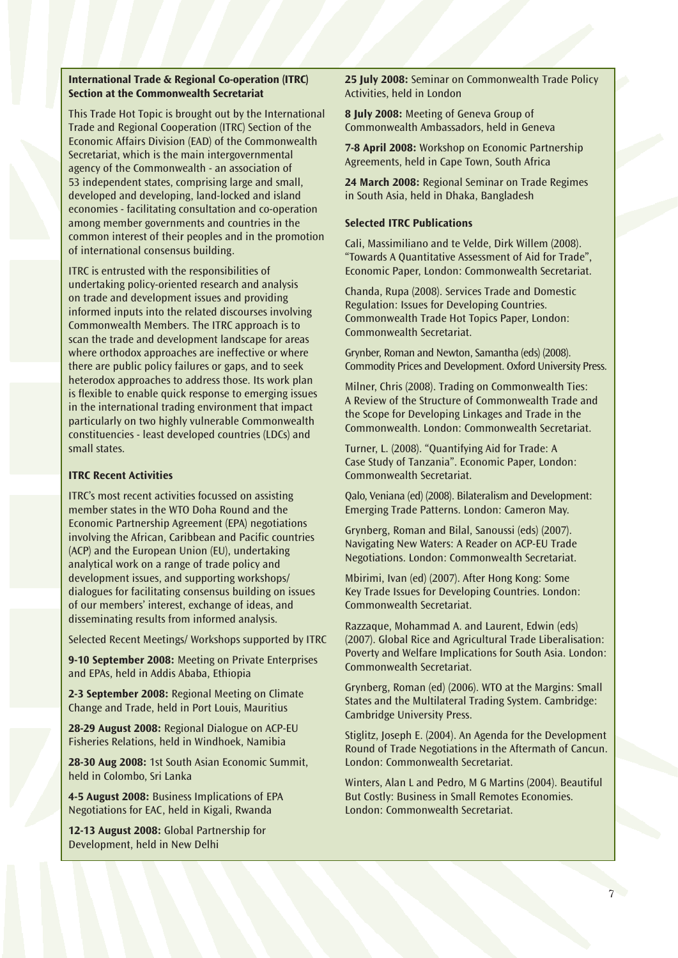#### **International Trade & Regional Co-operation (ITRC) Section at the Commonwealth Secretariat**

This Trade Hot Topic is brought out by the International Trade and Regional Cooperation (ITRC) Section of the Economic Affairs Division (EAD) of the Commonwealth Secretariat, which is the main intergovernmental agency of the Commonwealth - an association of 53 independent states, comprising large and small, developed and developing, land-locked and island economies - facilitating consultation and co-operation among member governments and countries in the common interest of their peoples and in the promotion of international consensus building.

ITRC is entrusted with the responsibilities of undertaking policy-oriented research and analysis on trade and development issues and providing informed inputs into the related discourses involving Commonwealth Members. The ITRC approach is to scan the trade and development landscape for areas where orthodox approaches are ineffective or where there are public policy failures or gaps, and to seek heterodox approaches to address those. Its work plan is flexible to enable quick response to emerging issues in the international trading environment that impact particularly on two highly vulnerable Commonwealth constituencies - least developed countries (LDCs) and small states.

#### **ITRC Recent Activities**

ITRC's most recent activities focussed on assisting member states in the WTO Doha Round and the Economic Partnership Agreement (EPA) negotiations involving the African, Caribbean and Pacific countries (ACP) and the European Union (EU), undertaking analytical work on a range of trade policy and development issues, and supporting workshops/ dialogues for facilitating consensus building on issues of our members' interest, exchange of ideas, and disseminating results from informed analysis.

Selected Recent Meetings/ Workshops supported by ITRC

**9-10 September 2008:** Meeting on Private Enterprises and EPAs, held in Addis Ababa, Ethiopia

**2-3 September 2008:** Regional Meeting on Climate Change and Trade, held in Port Louis, Mauritius

**28-29 August 2008:** Regional Dialogue on ACP-EU Fisheries Relations, held in Windhoek, Namibia

**28-30 Aug 2008:** 1st South Asian Economic Summit, held in Colombo, Sri Lanka

**4-5 August 2008:** Business Implications of EPA Negotiations for EAC, held in Kigali, Rwanda

**12-13 August 2008:** Global Partnership for Development, held in New Delhi

**25 July 2008:** Seminar on Commonwealth Trade Policy Activities, held in London

**8 July 2008:** Meeting of Geneva Group of Commonwealth Ambassadors, held in Geneva

**7-8 April 2008:** Workshop on Economic Partnership Agreements, held in Cape Town, South Africa

**24 March 2008:** Regional Seminar on Trade Regimes in South Asia, held in Dhaka, Bangladesh

#### **Selected ITRC Publications**

Cali, Massimiliano and te Velde, Dirk Willem (2008). "Towards A Quantitative Assessment of Aid for Trade", Economic Paper, London: Commonwealth Secretariat.

Chanda, Rupa (2008). Services Trade and Domestic Regulation: Issues for Developing Countries. Commonwealth Trade Hot Topics Paper, London: Commonwealth Secretariat.

Grynber, Roman and Newton, Samantha (eds) (2008). Commodity Prices and Development. Oxford University Press.

Milner, Chris (2008). Trading on Commonwealth Ties: A Review of the Structure of Commonwealth Trade and the Scope for Developing Linkages and Trade in the Commonwealth. London: Commonwealth Secretariat.

Turner, L. (2008). "Quantifying Aid for Trade: A Case Study of Tanzania". Economic Paper, London: Commonwealth Secretariat.

Qalo, Veniana (ed) (2008). Bilateralism and Development: Emerging Trade Patterns. London: Cameron May.

Grynberg, Roman and Bilal, Sanoussi (eds) (2007). Navigating New Waters: A Reader on ACP-EU Trade Negotiations. London: Commonwealth Secretariat.

Mbirimi, Ivan (ed) (2007). After Hong Kong: Some Key Trade Issues for Developing Countries. London: Commonwealth Secretariat.

Razzaque, Mohammad A. and Laurent, Edwin (eds) (2007). Global Rice and Agricultural Trade Liberalisation: Poverty and Welfare Implications for South Asia. London: Commonwealth Secretariat.

Grynberg, Roman (ed) (2006). WTO at the Margins: Small States and the Multilateral Trading System. Cambridge: Cambridge University Press.

Stiglitz, Joseph E. (2004). An Agenda for the Development Round of Trade Negotiations in the Aftermath of Cancun. London: Commonwealth Secretariat.

Winters, Alan L and Pedro, M G Martins (2004). Beautiful But Costly: Business in Small Remotes Economies. London: Commonwealth Secretariat.